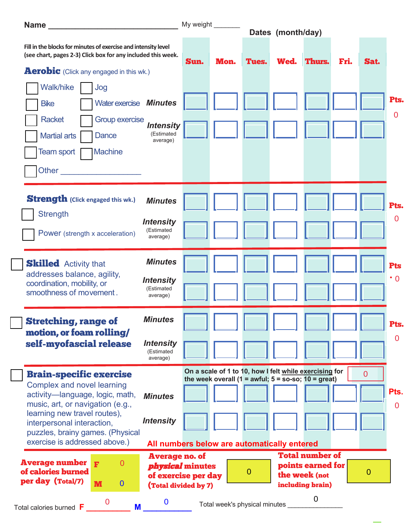|                                                                                                                                                                                                                                              | My weight _______<br>Dates (month/day)                                                                 |      |                                                                                                                 |              |      |                                                                                  |      |                |                         |
|----------------------------------------------------------------------------------------------------------------------------------------------------------------------------------------------------------------------------------------------|--------------------------------------------------------------------------------------------------------|------|-----------------------------------------------------------------------------------------------------------------|--------------|------|----------------------------------------------------------------------------------|------|----------------|-------------------------|
| Fill in the blocks for minutes of exercise and intensity level<br>(see chart, pages 2-3) Click box for any included this week.                                                                                                               |                                                                                                        | Sun. | Mon.                                                                                                            | Tues.        | Wed. | Thurs.                                                                           | Fri. | Sat.           |                         |
| <b>Aerobic</b> (Click any engaged in this wk.)                                                                                                                                                                                               |                                                                                                        |      |                                                                                                                 |              |      |                                                                                  |      |                |                         |
| Walk/hike<br>Jog<br>Water exercise Minutes<br><b>Bike</b><br><b>Group exercise</b><br><b>Racket</b>                                                                                                                                          |                                                                                                        |      |                                                                                                                 |              |      |                                                                                  |      |                | Pts.<br>$\overline{0}$  |
| <b>Martial arts</b><br>Dance<br>Team sport<br><b>Machine</b>                                                                                                                                                                                 | <b>Intensity</b><br>(Estimated<br>average)                                                             |      |                                                                                                                 |              |      |                                                                                  |      |                |                         |
| Other                                                                                                                                                                                                                                        |                                                                                                        |      |                                                                                                                 |              |      |                                                                                  |      |                |                         |
| <b>Strength</b> (Click engaged this wk.)<br><b>Strength</b>                                                                                                                                                                                  | <b>Minutes</b><br><b>Intensity</b>                                                                     |      |                                                                                                                 |              |      |                                                                                  |      |                | Pts.<br>0               |
| Power (strength x acceleration)                                                                                                                                                                                                              | (Estimated<br>average)                                                                                 |      |                                                                                                                 |              |      |                                                                                  |      |                |                         |
| <b>Skilled</b> Activity that<br>addresses balance, agility,<br>coordination, mobility, or<br>smoothness of movement.                                                                                                                         | <b>Minutes</b><br><b>Intensity</b><br>(Estimated<br>average)                                           |      |                                                                                                                 |              |      |                                                                                  |      |                | <b>Pts</b><br>$\cdot 0$ |
| <b>Stretching, range of</b><br>motion, or foam rolling/<br>self-myofascial release                                                                                                                                                           | <b>Minutes</b><br><b>Intensity</b><br>(Estimated<br>average)                                           |      |                                                                                                                 |              |      |                                                                                  |      |                | Pts.<br>$\mathbf 0$     |
| <b>Brain-specific exercise</b><br><b>Complex and novel learning</b><br>activity-language, logic, math,<br>music, art, or navigation (e.g.,<br>learning new travel routes),<br>interpersonal interaction,<br>puzzles, brainy games. (Physical | <b>Minutes</b><br><b>Intensity</b>                                                                     |      | On a scale of 1 to 10, how I felt while exercising for<br>the week overall (1 = awful; $5 =$ so-so; 10 = great) |              |      |                                                                                  |      | $\overline{0}$ | Pts.<br>$\overline{0}$  |
| exercise is addressed above.)                                                                                                                                                                                                                | All numbers below are automatically entered                                                            |      |                                                                                                                 |              |      |                                                                                  |      |                |                         |
| <b>Average number</b><br>0<br>F<br>of calories burned<br>per day (Total/7)<br>$\bf{0}$<br>M                                                                                                                                                  | <b>Average no. of</b><br><i><b>physical minutes</b></i><br>of exercise per day<br>(Total divided by 7) |      |                                                                                                                 | $\mathbf{0}$ |      | <b>Total number of</b><br>points earned for<br>the week (not<br>including brain) |      | 0              |                         |
| 0<br>Total calories burned F<br>M                                                                                                                                                                                                            | 0                                                                                                      |      | Total week's physical minutes                                                                                   |              |      | $\mathbf 0$                                                                      |      |                |                         |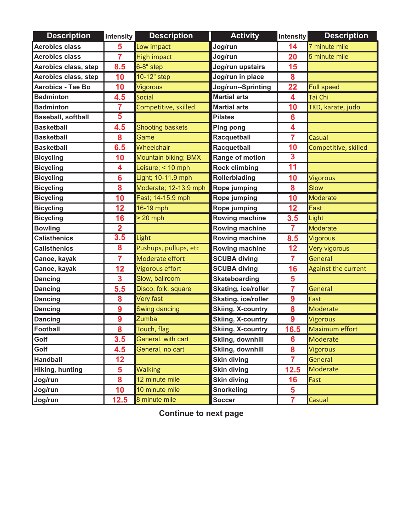| <b>Description</b>        | Intensity               | <b>Description</b>      | <b>Activity</b>            | <b>Intensity</b>        | <b>Description</b>         |
|---------------------------|-------------------------|-------------------------|----------------------------|-------------------------|----------------------------|
| <b>Aerobics class</b>     | 5                       | Low impact              | Jog/run                    | 14                      | 7 minute mile              |
| <b>Aerobics class</b>     | $\overline{7}$          | <b>High impact</b>      | Jog/run                    | 20                      | 5 minute mile              |
| Aerobics class, step      | 8.5                     | $6-8"$ step             | Jog/run upstairs           | 15                      |                            |
| Aerobics class, step      | 10                      | 10-12" step             | Jog/run in place           | 8                       |                            |
| <b>Aerobics - Tae Bo</b>  | 10                      | Vigorous                | Jog/run--Sprinting         | 22                      | <b>Full speed</b>          |
| <b>Badminton</b>          | 4.5                     | Social                  | <b>Martial arts</b>        | $\overline{\mathbf{4}}$ | Tai Chi                    |
| <b>Badminton</b>          | 7                       | Competitive, skilled    | <b>Martial arts</b>        | 10                      | TKD, karate, judo          |
| <b>Baseball, softball</b> | 5                       |                         | <b>Pilates</b>             | $6\phantom{1}6$         |                            |
| <b>Basketball</b>         | 4.5                     | <b>Shooting baskets</b> | <b>Ping pong</b>           | 4                       |                            |
| <b>Basketball</b>         | 8                       | Game                    | Racquetball                | $\overline{7}$          | Casual                     |
| <b>Basketball</b>         | 6.5                     | Wheelchair              | Racquetball                | 10                      | Competitive, skilled       |
| <b>Bicycling</b>          | 10                      | Mountain biking; BMX    | Range of motion            | $\mathbf{3}$            |                            |
| <b>Bicycling</b>          | 4                       | Leisure; $<$ 10 mph     | <b>Rock climbing</b>       | 11                      |                            |
| <b>Bicycling</b>          | 6                       | Light; 10-11.9 mph      | <b>Rollerblading</b>       | 10                      | <b>Vigorous</b>            |
| <b>Bicycling</b>          | 8                       | Moderate; 12-13.9 mph   | <b>Rope jumping</b>        | 8                       | Slow                       |
| <b>Bicycling</b>          | 10                      | Fast; 14-15.9 mph       | <b>Rope jumping</b>        | 10                      | Moderate                   |
| <b>Bicycling</b>          | 12                      | 16-19 mph               | Rope jumping               | 12                      | Fast                       |
| <b>Bicycling</b>          | 16                      | $> 20$ mph              | <b>Rowing machine</b>      | 3.5                     | Light                      |
| <b>Bowling</b>            | $\overline{\mathbf{2}}$ |                         | Rowing machine             | $\overline{7}$          | Moderate                   |
| <b>Calisthenics</b>       | 3.5                     | Light                   | <b>Rowing machine</b>      | 8.5                     | <b>Vigorous</b>            |
| <b>Calisthenics</b>       | 8                       | Pushups, pullups, etc   | Rowing machine             | 12                      | Very vigorous              |
| Canoe, kayak              | $\overline{7}$          | Moderate effort         | <b>SCUBA diving</b>        | $\overline{7}$          | General                    |
| Canoe, kayak              | 12                      | Vigorous effort         | <b>SCUBA diving</b>        | 16                      | <b>Against the current</b> |
| <b>Dancing</b>            | 3                       | Slow, ballroom          | <b>Skateboarding</b>       | 5                       |                            |
| <b>Dancing</b>            | 5.5                     | Disco, folk, square     | <b>Skating, ice/roller</b> | $\overline{7}$          | General                    |
| <b>Dancing</b>            | 8                       | Very fast               | Skating, ice/roller        | $\boldsymbol{9}$        | Fast                       |
| <b>Dancing</b>            | 9                       | <b>Swing dancing</b>    | <b>Skiing, X-country</b>   | 8                       | Moderate                   |
| <b>Dancing</b>            | 9                       | Zumba                   | <b>Skiing, X-country</b>   | 9                       | <b>Vigorous</b>            |
| Football                  | 8                       | Touch, flag             | <b>Skiing, X-country</b>   | <u>16.5</u>             | <b>Maximum effort</b>      |
| Golf                      | 3.5                     | General, with cart      | <b>Skiing, downhill</b>    | 6                       | Moderate                   |
| Golf                      | 4.5                     | General, no cart        | <b>Skiing, downhill</b>    | 8                       | <b>Vigorous</b>            |
| <b>Handball</b>           | 12                      |                         | <b>Skin diving</b>         | $\overline{7}$          | General                    |
| Hiking, hunting           | 5                       | <b>Walking</b>          | <b>Skin diving</b>         | 12.5                    | Moderate                   |
| Jog/run                   | 8                       | 12 minute mile          | <b>Skin diving</b>         | 16                      | Fast                       |
| Jog/run                   | 10                      | 10 minute mile          | <b>Snorkeling</b>          | $\overline{\mathbf{5}}$ |                            |
| Jog/run                   | 12.5                    | 8 minute mile           | <b>Soccer</b>              | $\overline{7}$          | Casual                     |

**Continue to next page**